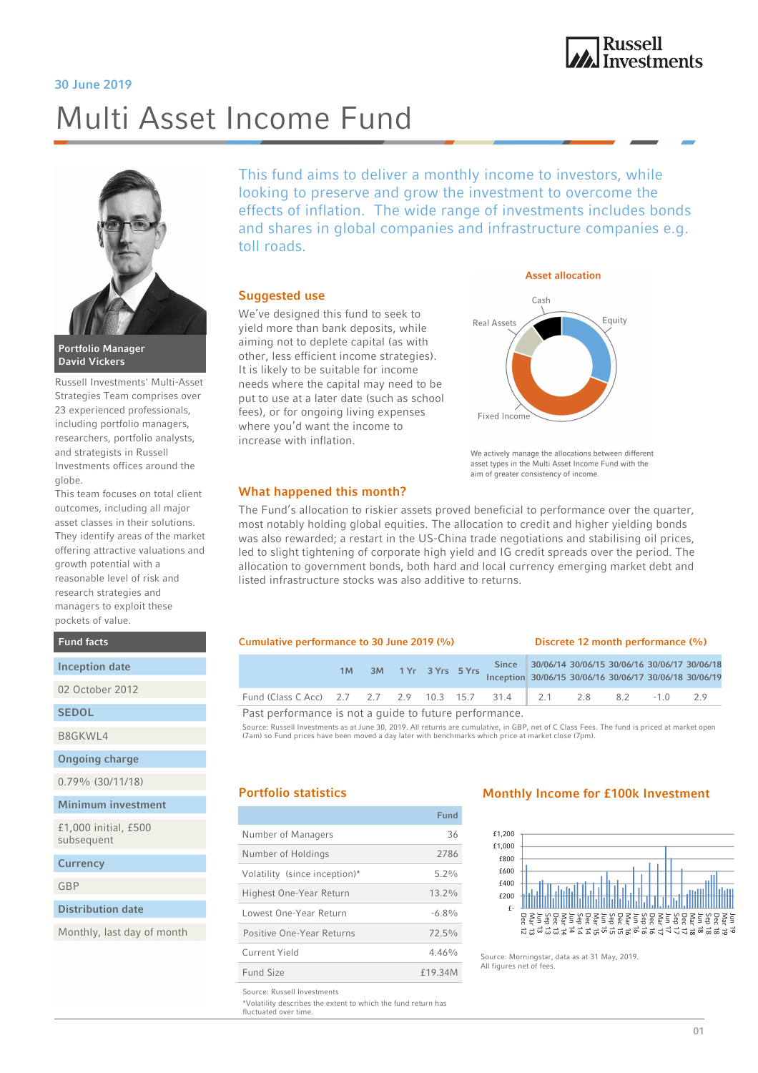# Russell<br>Investments

#### 30 June 2019

# Multi Asset Income Fund



David Vickers

Russell Investments' Multi-Asset Strategies Team comprises over 23 experienced professionals, including portfolio managers, researchers, portfolio analysts, and strategists in Russell Investments offices around the globe.

This team focuses on total client outcomes, including all major asset classes in their solutions. They identify areas of the market offering attractive valuations and growth potential with a reasonable level of risk and research strategies and managers to exploit these pockets of value.

Fund facts

#### Inception date

02 October 2012

**SEDOL** 

B8GKWL4

Ongoing charge

0.79% (30/11/18)

Minimum investment

£1,000 initial, £500 subsequent

**Currency** 

GBP

Distribution date

Monthly, last day of month

This fund aims to deliver a monthly income to investors, while looking to preserve and grow the investment to overcome the effects of inflation. The wide range of investments includes bonds and shares in global companies and infrastructure companies e.g. toll roads.

#### Suggested use

We've designed this fund to seek to yield more than bank deposits, while aiming not to deplete capital (as with other, less efficient income strategies). It is likely to be suitable for income needs where the capital may need to be put to use at a later date (such as school fees), or for ongoing living expenses where you'd want the income to increase with inflation.



We actively manage the allocations between different asset types in the Multi Asset Income Fund with the aim of greater consistency of income.

#### What happened this month?

The Fund's allocation to riskier assets proved beneficial to performance over the quarter, most notably holding global equities. The allocation to credit and higher yielding bonds was also rewarded; a restart in the US-China trade negotiations and stabilising oil prices, led to slight tightening of corporate high yield and IG credit spreads over the period. The allocation to government bonds, both hard and local currency emerging market debt and listed infrastructure stocks was also additive to returns.

#### Cumulative performance to 30 June 2019 (%) Discrete 12 month performance (%)

|                                                                    | 1M |  |  | 3M 1 Yr 3 Yrs 5 Yrs |  | Inception 30/06/15 30/06/16 30/06/17 30/06/18 30/06/19 | Since 30/06/14 30/06/15 30/06/16 30/06/17 30/06/18 |  |  |
|--------------------------------------------------------------------|----|--|--|---------------------|--|--------------------------------------------------------|----------------------------------------------------|--|--|
| Fund (Class C Acc) 2.7 2.7 2.9 10.3 15.7 31.4 2.1 2.8 8.2 -1.0 2.9 |    |  |  |                     |  |                                                        |                                                    |  |  |
| Past performance is not a guide to future performance.             |    |  |  |                     |  |                                                        |                                                    |  |  |

Source: Russell Investments as at June 30, 2019. All returns are cumulative, in GBP, net of C Class Fees. The fund is priced at market open

(7am) so Fund prices have been moved a day later with benchmarks which price at market close (7pm).

|                               | Fund     |
|-------------------------------|----------|
| Number of Managers            | 36       |
| Number of Holdings            | 2786     |
| Volatility (since inception)* | $5.2\%$  |
| Highest One-Year Return       | $13.2\%$ |
| Lowest One-Year Return        | $-6.8\%$ |
| Positive One-Year Returns     | $72.5\%$ |
| Current Yield                 | 4.46%    |
| Fund Size                     | £19.34M  |
|                               |          |

#### Source: Russell Investments

\*Volatility describes the extent to which the fund return has fluctuated over time.

#### Portfolio statistics Monthly Income for £100k Investment



Source: Morningstar, data as at 31 May, 2019. All figures net of fees.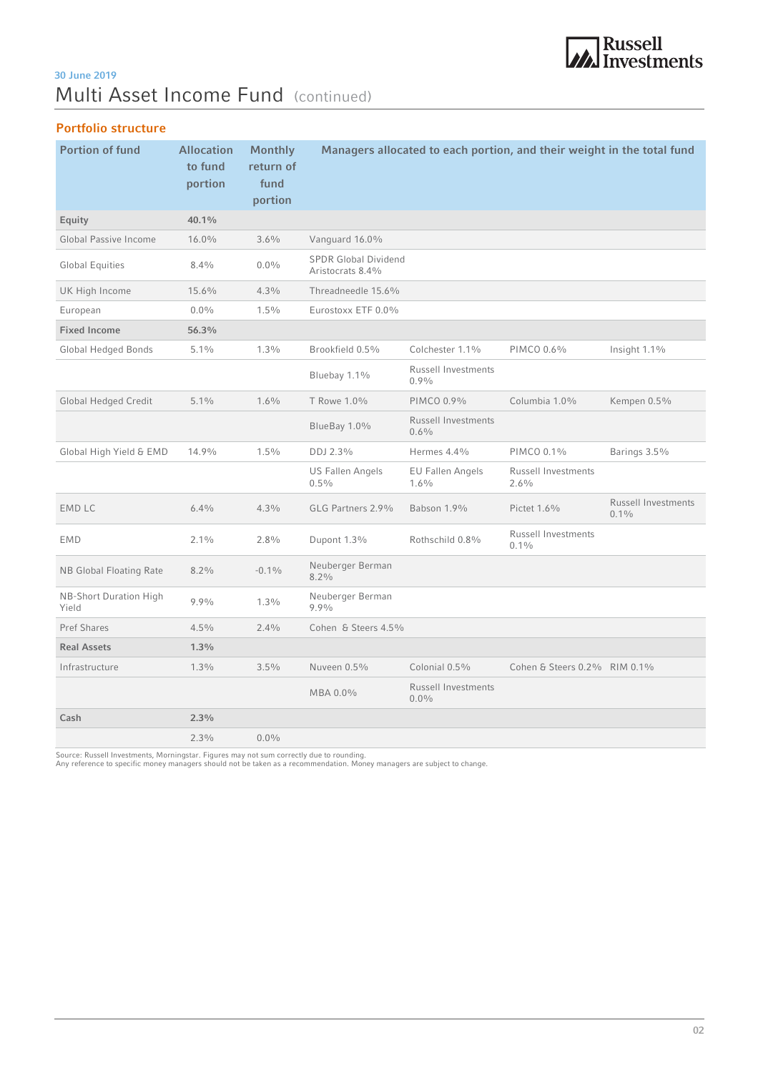# **MA**<br>Investments

## Multi Asset Income Fund (continued) 30 June 2019

### Portfolio structure

| <b>Portion of fund</b>                 | <b>Allocation</b><br>to fund<br>portion | <b>Monthly</b><br>return of<br>fund<br>portion |                                                 |                                    | Managers allocated to each portion, and their weight in the total fund |                                       |
|----------------------------------------|-----------------------------------------|------------------------------------------------|-------------------------------------------------|------------------------------------|------------------------------------------------------------------------|---------------------------------------|
| Equity                                 | 40.1%                                   |                                                |                                                 |                                    |                                                                        |                                       |
| Global Passive Income                  | 16.0%                                   | 3.6%                                           | Vanguard 16.0%                                  |                                    |                                                                        |                                       |
| <b>Global Equities</b>                 | 8.4%                                    | $0.0\%$                                        | <b>SPDR Global Dividend</b><br>Aristocrats 8.4% |                                    |                                                                        |                                       |
| UK High Income                         | 15.6%                                   | 4.3%                                           | Threadneedle 15.6%                              |                                    |                                                                        |                                       |
| European                               | $0.0\%$                                 | 1.5%                                           | Eurostoxx ETF 0.0%                              |                                    |                                                                        |                                       |
| <b>Fixed Income</b>                    | 56.3%                                   |                                                |                                                 |                                    |                                                                        |                                       |
| <b>Global Hedged Bonds</b>             | 5.1%                                    | 1.3%                                           | Brookfield 0.5%                                 | Colchester 1.1%                    | PIMCO 0.6%                                                             | Insight 1.1%                          |
|                                        |                                         |                                                | Bluebay 1.1%                                    | <b>Russell Investments</b><br>0.9% |                                                                        |                                       |
| <b>Global Hedged Credit</b>            | $5.1\%$                                 | $1.6\%$                                        | T Rowe 1.0%                                     | PIMCO 0.9%                         | Columbia 1.0%                                                          | Kempen 0.5%                           |
|                                        |                                         |                                                | BlueBay 1.0%                                    | Russell Investments<br>0.6%        |                                                                        |                                       |
| Global High Yield & EMD                | 14.9%                                   | 1.5%                                           | DDJ 2.3%                                        | Hermes 4.4%                        | PIMCO 0.1%                                                             | Barings 3.5%                          |
|                                        |                                         |                                                | <b>US Fallen Angels</b><br>0.5%                 | <b>EU Fallen Angels</b><br>1.6%    | <b>Russell Investments</b><br>2.6%                                     |                                       |
| <b>EMD LC</b>                          | 6.4%                                    | 4.3%                                           | GLG Partners 2.9%                               | Babson 1.9%                        | Pictet 1.6%                                                            | <b>Russell Investments</b><br>$0.1\%$ |
| <b>EMD</b>                             | $2.1\%$                                 | 2.8%                                           | Dupont 1.3%                                     | Rothschild 0.8%                    | Russell Investments<br>$0.1\%$                                         |                                       |
| <b>NB Global Floating Rate</b>         | 8.2%                                    | $-0.1\%$                                       | Neuberger Berman<br>8.2%                        |                                    |                                                                        |                                       |
| <b>NB-Short Duration High</b><br>Yield | 9.9%                                    | $1.3\%$                                        | Neuberger Berman<br>9.9%                        |                                    |                                                                        |                                       |
| <b>Pref Shares</b>                     | 4.5%                                    | 2.4%                                           | Cohen & Steers 4.5%                             |                                    |                                                                        |                                       |
| <b>Real Assets</b>                     | 1.3%                                    |                                                |                                                 |                                    |                                                                        |                                       |
| Infrastructure                         | 1.3%                                    | 3.5%                                           | Nuveen 0.5%                                     | Colonial 0.5%                      | Cohen & Steers 0.2% RIM 0.1%                                           |                                       |
|                                        |                                         |                                                | MBA 0.0%                                        | Russell Investments<br>$0.0\%$     |                                                                        |                                       |
| Cash                                   | 2.3%                                    |                                                |                                                 |                                    |                                                                        |                                       |
|                                        | 2.3%                                    | $0.0\%$                                        |                                                 |                                    |                                                                        |                                       |

Source: Russell Investments, Morningstar. Figures may not sum correctly due to rounding. Any reference to specific money managers should not be taken as a recommendation. Money managers are subject to change.